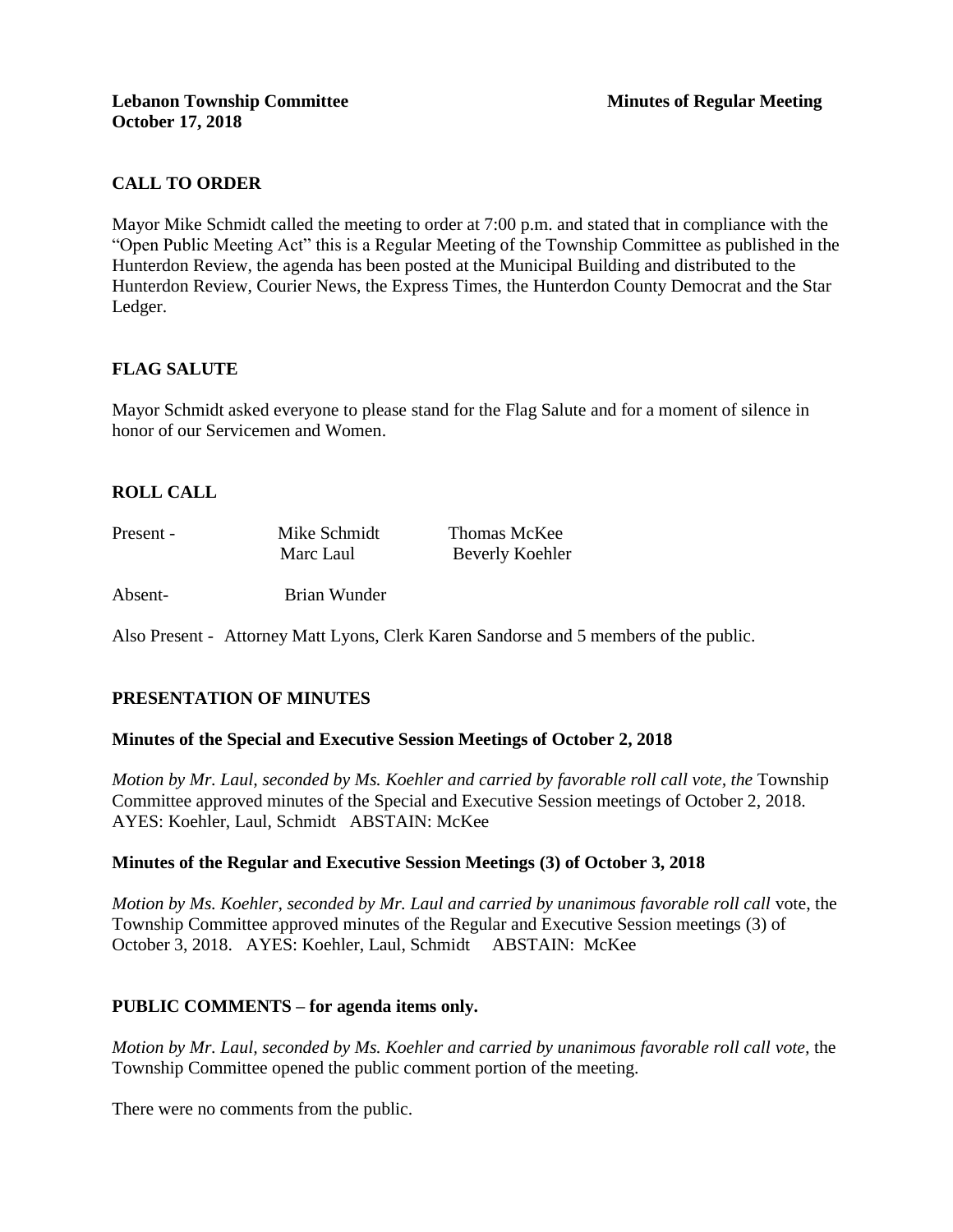# **CALL TO ORDER**

Mayor Mike Schmidt called the meeting to order at 7:00 p.m. and stated that in compliance with the "Open Public Meeting Act" this is a Regular Meeting of the Township Committee as published in the Hunterdon Review, the agenda has been posted at the Municipal Building and distributed to the Hunterdon Review, Courier News, the Express Times, the Hunterdon County Democrat and the Star Ledger.

# **FLAG SALUTE**

Mayor Schmidt asked everyone to please stand for the Flag Salute and for a moment of silence in honor of our Servicemen and Women.

# **ROLL CALL**

| Present - | Mike Schmidt | Thomas McKee           |
|-----------|--------------|------------------------|
|           | Marc Laul    | <b>Beverly Koehler</b> |

Absent- Brian Wunder

Also Present - Attorney Matt Lyons, Clerk Karen Sandorse and 5 members of the public.

# **PRESENTATION OF MINUTES**

# **Minutes of the Special and Executive Session Meetings of October 2, 2018**

*Motion by Mr. Laul, seconded by Ms. Koehler and carried by favorable roll call vote, the* Township Committee approved minutes of the Special and Executive Session meetings of October 2, 2018. AYES: Koehler, Laul, Schmidt ABSTAIN: McKee

# **Minutes of the Regular and Executive Session Meetings (3) of October 3, 2018**

*Motion by Ms. Koehler, seconded by Mr. Laul and carried by unanimous favorable roll call* vote, the Township Committee approved minutes of the Regular and Executive Session meetings (3) of October 3, 2018. AYES: Koehler, Laul, Schmidt ABSTAIN: McKee

# **PUBLIC COMMENTS – for agenda items only.**

*Motion by Mr. Laul, seconded by Ms. Koehler and carried by unanimous favorable roll call vote,* the Township Committee opened the public comment portion of the meeting.

There were no comments from the public.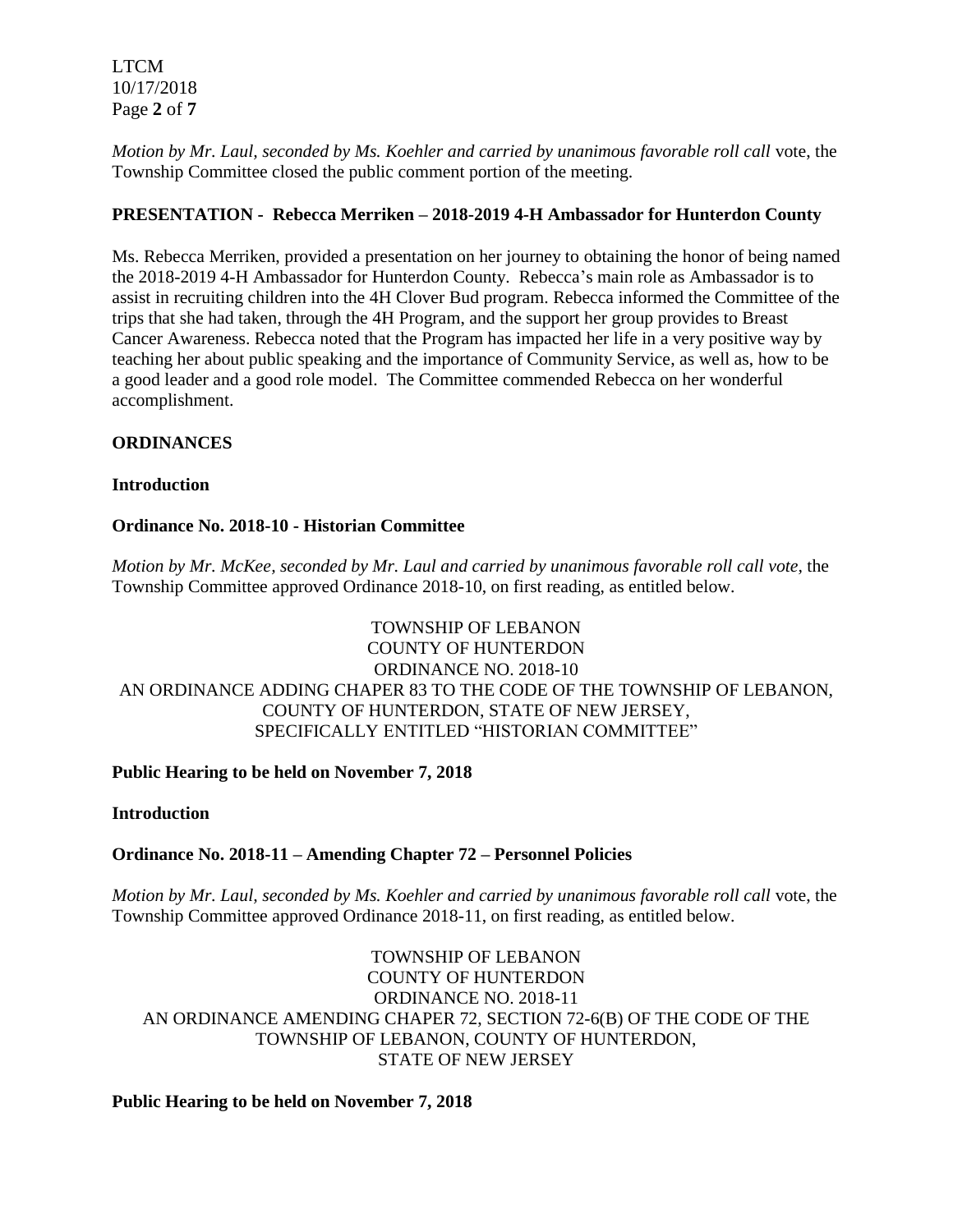LTCM 10/17/2018 Page **2** of **7**

*Motion by Mr. Laul, seconded by Ms. Koehler and carried by unanimous favorable roll call* vote, the Township Committee closed the public comment portion of the meeting.

# **PRESENTATION - Rebecca Merriken – 2018-2019 4-H Ambassador for Hunterdon County**

Ms. Rebecca Merriken, provided a presentation on her journey to obtaining the honor of being named the 2018-2019 4-H Ambassador for Hunterdon County. Rebecca's main role as Ambassador is to assist in recruiting children into the 4H Clover Bud program. Rebecca informed the Committee of the trips that she had taken, through the 4H Program, and the support her group provides to Breast Cancer Awareness. Rebecca noted that the Program has impacted her life in a very positive way by teaching her about public speaking and the importance of Community Service, as well as, how to be a good leader and a good role model. The Committee commended Rebecca on her wonderful accomplishment.

# **ORDINANCES**

#### **Introduction**

#### **Ordinance No. 2018-10 - Historian Committee**

*Motion by Mr. McKee, seconded by Mr. Laul and carried by unanimous favorable roll call vote,* the Township Committee approved Ordinance 2018-10, on first reading, as entitled below.

# TOWNSHIP OF LEBANON COUNTY OF HUNTERDON ORDINANCE NO. 2018-10 AN ORDINANCE ADDING CHAPER 83 TO THE CODE OF THE TOWNSHIP OF LEBANON, COUNTY OF HUNTERDON, STATE OF NEW JERSEY, SPECIFICALLY ENTITLED "HISTORIAN COMMITTEE"

# **Public Hearing to be held on November 7, 2018**

#### **Introduction**

# **Ordinance No. 2018-11 – Amending Chapter 72 – Personnel Policies**

*Motion by Mr. Laul, seconded by Ms. Koehler and carried by unanimous favorable roll call* vote, the Township Committee approved Ordinance 2018-11, on first reading, as entitled below.

# TOWNSHIP OF LEBANON COUNTY OF HUNTERDON ORDINANCE NO. 2018-11 AN ORDINANCE AMENDING CHAPER 72, SECTION 72-6(B) OF THE CODE OF THE TOWNSHIP OF LEBANON, COUNTY OF HUNTERDON, STATE OF NEW JERSEY

#### **Public Hearing to be held on November 7, 2018**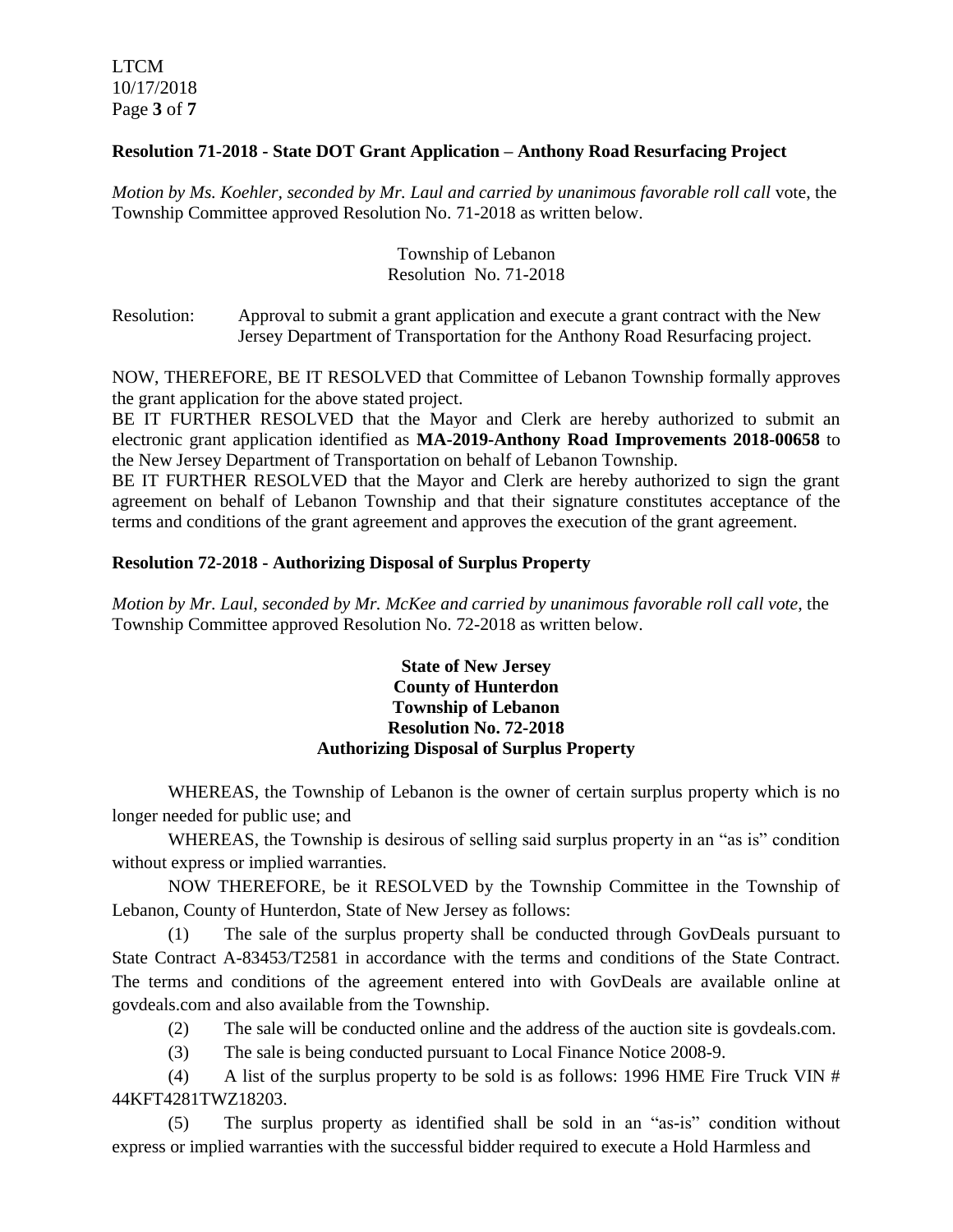LTCM 10/17/2018 Page **3** of **7**

# **Resolution 71-2018 - State DOT Grant Application – Anthony Road Resurfacing Project**

*Motion by Ms. Koehler, seconded by Mr. Laul and carried by unanimous favorable roll call* vote, the Township Committee approved Resolution No. 71-2018 as written below.

# Township of Lebanon Resolution No. 71-2018

Resolution: Approval to submit a grant application and execute a grant contract with the New Jersey Department of Transportation for the Anthony Road Resurfacing project.

NOW, THEREFORE, BE IT RESOLVED that Committee of Lebanon Township formally approves the grant application for the above stated project.

BE IT FURTHER RESOLVED that the Mayor and Clerk are hereby authorized to submit an electronic grant application identified as **MA-2019-Anthony Road Improvements 2018-00658** to the New Jersey Department of Transportation on behalf of Lebanon Township.

BE IT FURTHER RESOLVED that the Mayor and Clerk are hereby authorized to sign the grant agreement on behalf of Lebanon Township and that their signature constitutes acceptance of the terms and conditions of the grant agreement and approves the execution of the grant agreement.

#### **Resolution 72-2018 - Authorizing Disposal of Surplus Property**

*Motion by Mr. Laul, seconded by Mr. McKee and carried by unanimous favorable roll call vote,* the Township Committee approved Resolution No. 72-2018 as written below.

#### **State of New Jersey County of Hunterdon Township of Lebanon Resolution No. 72-2018 Authorizing Disposal of Surplus Property**

WHEREAS, the Township of Lebanon is the owner of certain surplus property which is no longer needed for public use; and

WHEREAS, the Township is desirous of selling said surplus property in an "as is" condition without express or implied warranties.

NOW THEREFORE, be it RESOLVED by the Township Committee in the Township of Lebanon, County of Hunterdon, State of New Jersey as follows:

(1) The sale of the surplus property shall be conducted through GovDeals pursuant to State Contract A-83453/T2581 in accordance with the terms and conditions of the State Contract. The terms and conditions of the agreement entered into with GovDeals are available online at govdeals.com and also available from the Township.

- (2) The sale will be conducted online and the address of the auction site is govdeals.com.
- (3) The sale is being conducted pursuant to Local Finance Notice 2008-9.

(4) A list of the surplus property to be sold is as follows: 1996 HME Fire Truck VIN  $#$ 44KFT4281TWZ18203.

(5) The surplus property as identified shall be sold in an "as-is" condition without express or implied warranties with the successful bidder required to execute a Hold Harmless and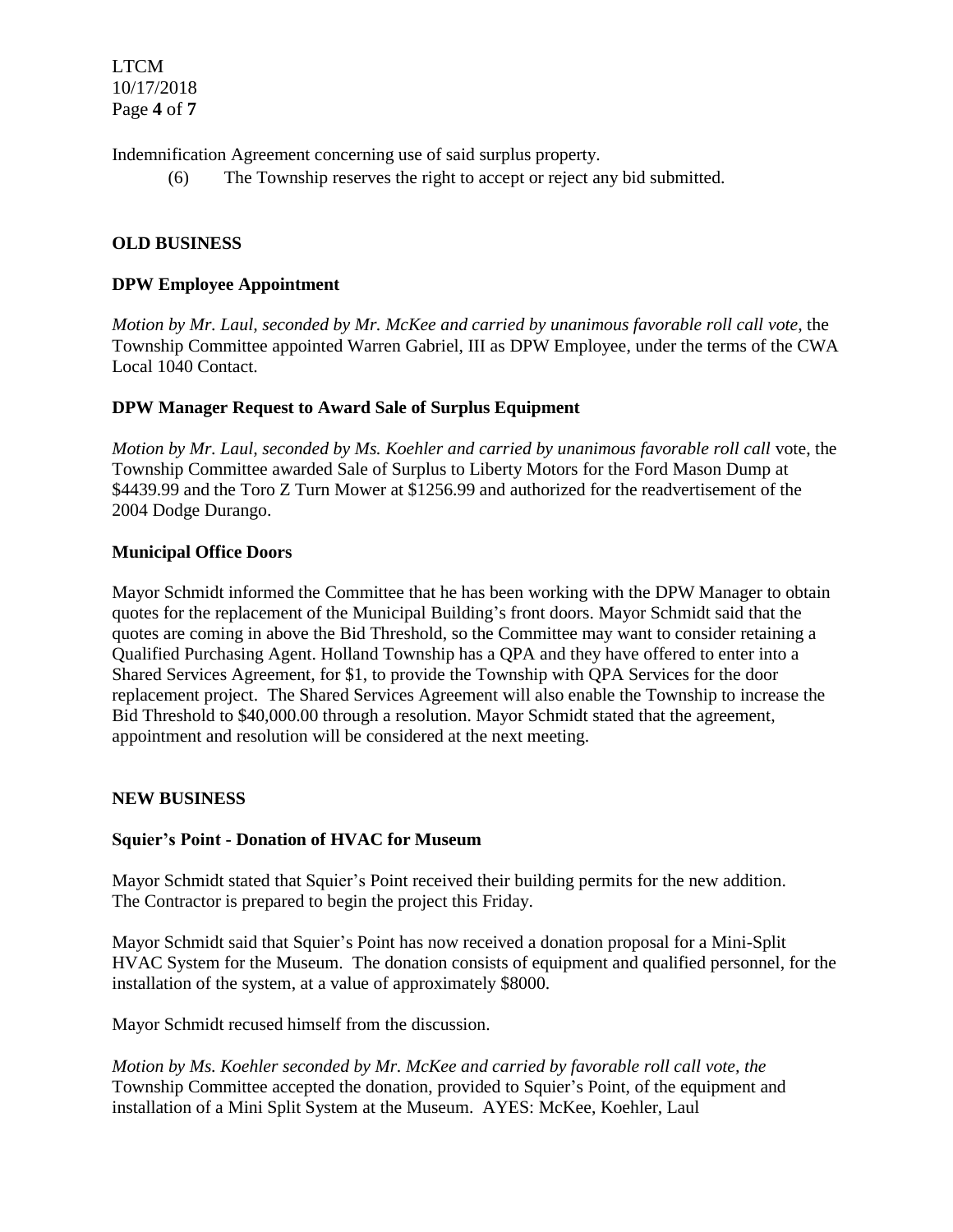LTCM 10/17/2018 Page **4** of **7**

Indemnification Agreement concerning use of said surplus property.

(6) The Township reserves the right to accept or reject any bid submitted.

# **OLD BUSINESS**

#### **DPW Employee Appointment**

*Motion by Mr. Laul, seconded by Mr. McKee and carried by unanimous favorable roll call vote,* the Township Committee appointed Warren Gabriel, III as DPW Employee, under the terms of the CWA Local 1040 Contact.

# **DPW Manager Request to Award Sale of Surplus Equipment**

*Motion by Mr. Laul, seconded by Ms. Koehler and carried by unanimous favorable roll call vote, the* Township Committee awarded Sale of Surplus to Liberty Motors for the Ford Mason Dump at \$4439.99 and the Toro Z Turn Mower at \$1256.99 and authorized for the readvertisement of the 2004 Dodge Durango.

#### **Municipal Office Doors**

Mayor Schmidt informed the Committee that he has been working with the DPW Manager to obtain quotes for the replacement of the Municipal Building's front doors. Mayor Schmidt said that the quotes are coming in above the Bid Threshold, so the Committee may want to consider retaining a Qualified Purchasing Agent. Holland Township has a QPA and they have offered to enter into a Shared Services Agreement, for \$1, to provide the Township with QPA Services for the door replacement project. The Shared Services Agreement will also enable the Township to increase the Bid Threshold to \$40,000.00 through a resolution. Mayor Schmidt stated that the agreement, appointment and resolution will be considered at the next meeting.

# **NEW BUSINESS**

#### **Squier's Point - Donation of HVAC for Museum**

Mayor Schmidt stated that Squier's Point received their building permits for the new addition. The Contractor is prepared to begin the project this Friday.

Mayor Schmidt said that Squier's Point has now received a donation proposal for a Mini-Split HVAC System for the Museum. The donation consists of equipment and qualified personnel, for the installation of the system, at a value of approximately \$8000.

Mayor Schmidt recused himself from the discussion.

*Motion by Ms. Koehler seconded by Mr. McKee and carried by favorable roll call vote, the* Township Committee accepted the donation, provided to Squier's Point, of the equipment and installation of a Mini Split System at the Museum. AYES: McKee, Koehler, Laul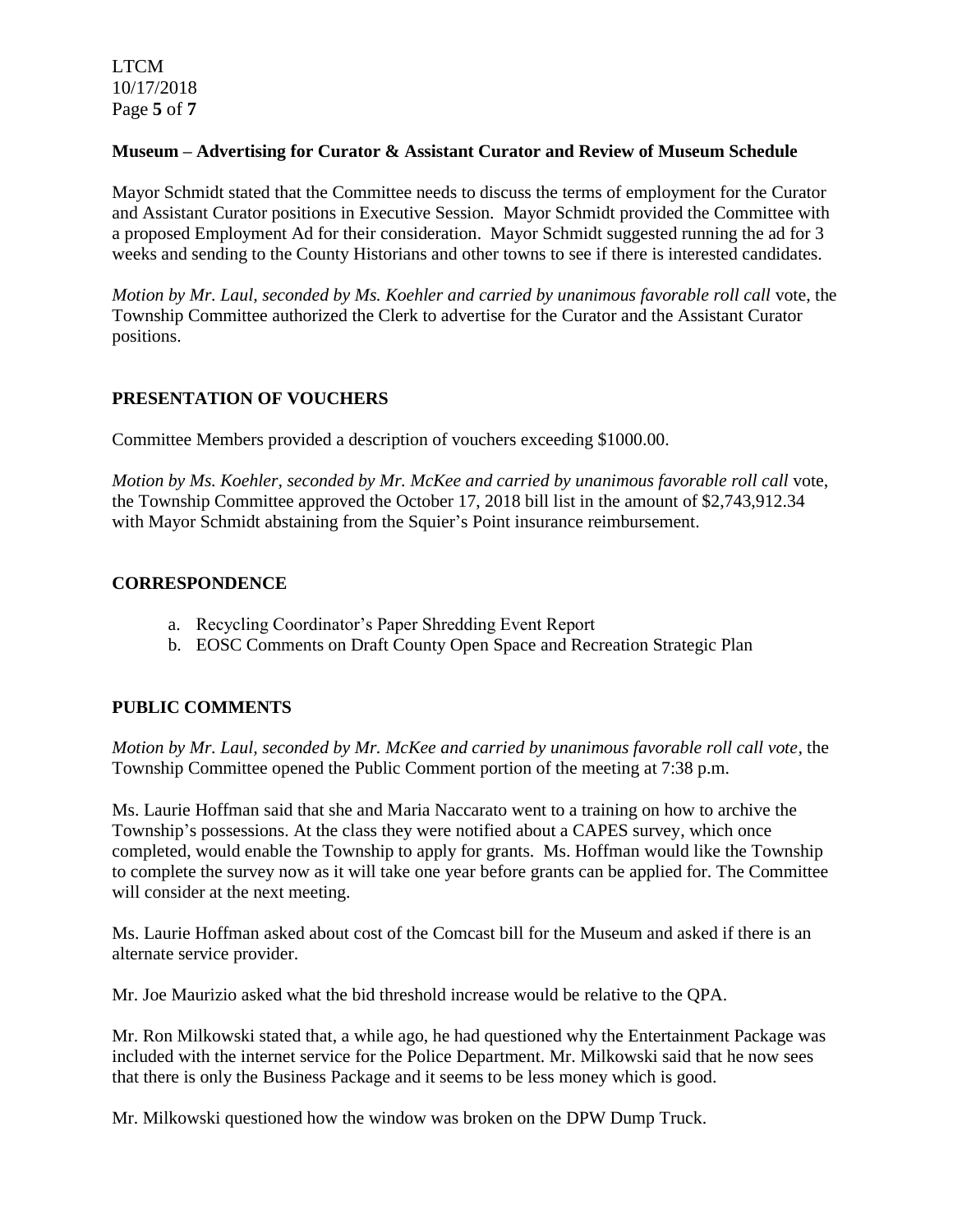LTCM 10/17/2018 Page **5** of **7**

#### **Museum – Advertising for Curator & Assistant Curator and Review of Museum Schedule**

Mayor Schmidt stated that the Committee needs to discuss the terms of employment for the Curator and Assistant Curator positions in Executive Session. Mayor Schmidt provided the Committee with a proposed Employment Ad for their consideration. Mayor Schmidt suggested running the ad for 3 weeks and sending to the County Historians and other towns to see if there is interested candidates.

*Motion by Mr. Laul, seconded by Ms. Koehler and carried by unanimous favorable roll call* vote, the Township Committee authorized the Clerk to advertise for the Curator and the Assistant Curator positions.

# **PRESENTATION OF VOUCHERS**

Committee Members provided a description of vouchers exceeding \$1000.00.

*Motion by Ms. Koehler, seconded by Mr. McKee and carried by unanimous favorable roll call* vote, the Township Committee approved the October 17, 2018 bill list in the amount of \$2,743,912.34 with Mayor Schmidt abstaining from the Squier's Point insurance reimbursement.

# **CORRESPONDENCE**

- a. Recycling Coordinator's Paper Shredding Event Report
- b. EOSC Comments on Draft County Open Space and Recreation Strategic Plan

# **PUBLIC COMMENTS**

*Motion by Mr. Laul, seconded by Mr. McKee and carried by unanimous favorable roll call vote,* the Township Committee opened the Public Comment portion of the meeting at 7:38 p.m.

Ms. Laurie Hoffman said that she and Maria Naccarato went to a training on how to archive the Township's possessions. At the class they were notified about a CAPES survey, which once completed, would enable the Township to apply for grants. Ms. Hoffman would like the Township to complete the survey now as it will take one year before grants can be applied for. The Committee will consider at the next meeting.

Ms. Laurie Hoffman asked about cost of the Comcast bill for the Museum and asked if there is an alternate service provider.

Mr. Joe Maurizio asked what the bid threshold increase would be relative to the QPA.

Mr. Ron Milkowski stated that, a while ago, he had questioned why the Entertainment Package was included with the internet service for the Police Department. Mr. Milkowski said that he now sees that there is only the Business Package and it seems to be less money which is good.

Mr. Milkowski questioned how the window was broken on the DPW Dump Truck.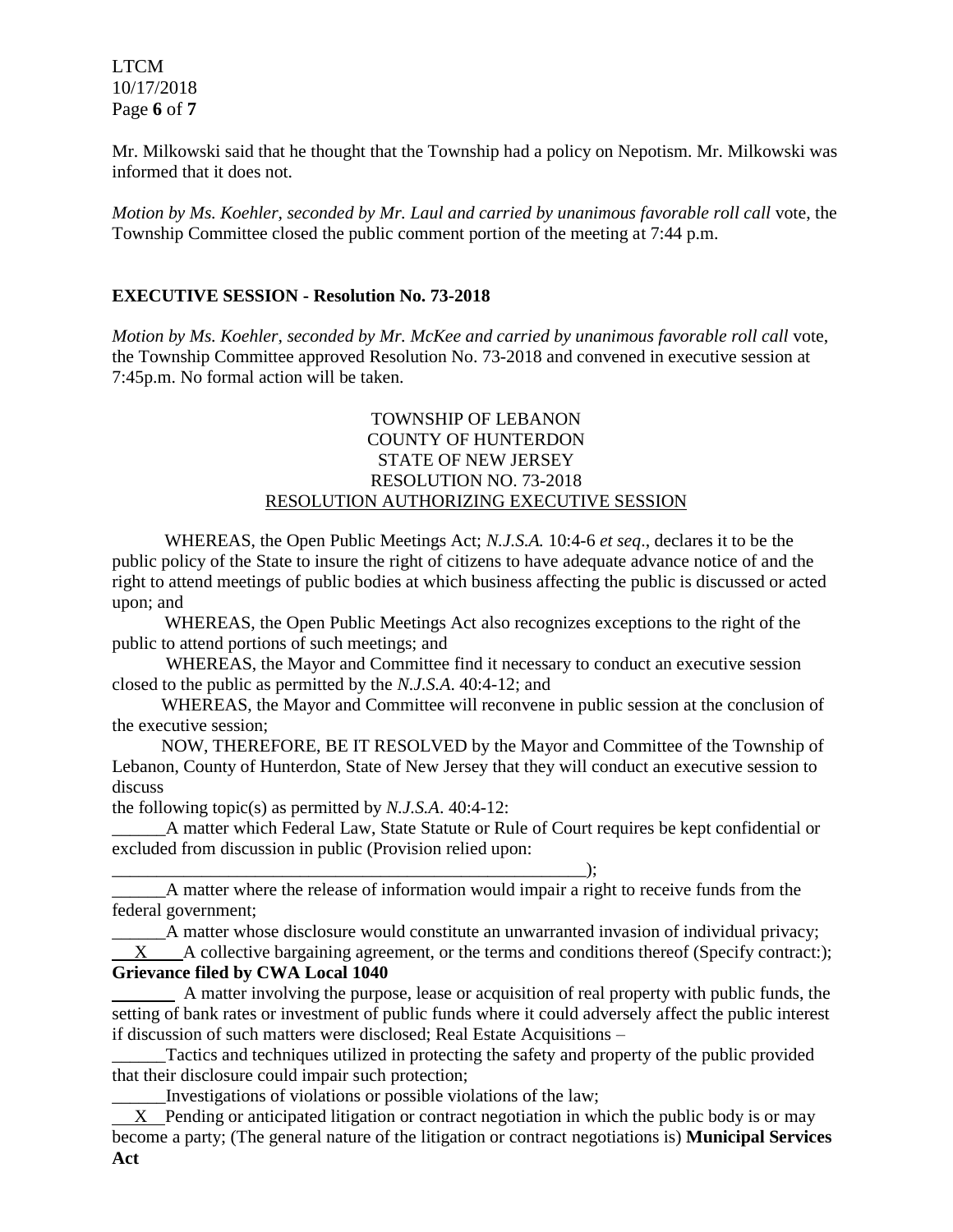LTCM 10/17/2018 Page **6** of **7**

Mr. Milkowski said that he thought that the Township had a policy on Nepotism. Mr. Milkowski was informed that it does not.

*Motion by Ms. Koehler, seconded by Mr. Laul and carried by unanimous favorable roll call* vote, the Township Committee closed the public comment portion of the meeting at 7:44 p.m.

# **EXECUTIVE SESSION - Resolution No. 73-2018**

*Motion by Ms. Koehler, seconded by Mr. McKee and carried by unanimous favorable roll call* vote, the Township Committee approved Resolution No. 73-2018 and convened in executive session at 7:45p.m. No formal action will be taken.

## TOWNSHIP OF LEBANON COUNTY OF HUNTERDON STATE OF NEW JERSEY RESOLUTION NO. 73-2018 RESOLUTION AUTHORIZING EXECUTIVE SESSION

WHEREAS, the Open Public Meetings Act; *N.J.S.A.* 10:4-6 *et seq*., declares it to be the public policy of the State to insure the right of citizens to have adequate advance notice of and the right to attend meetings of public bodies at which business affecting the public is discussed or acted upon; and

WHEREAS, the Open Public Meetings Act also recognizes exceptions to the right of the public to attend portions of such meetings; and

 WHEREAS, the Mayor and Committee find it necessary to conduct an executive session closed to the public as permitted by the *N.J.S.A*. 40:4-12; and

 WHEREAS, the Mayor and Committee will reconvene in public session at the conclusion of the executive session;

 NOW, THEREFORE, BE IT RESOLVED by the Mayor and Committee of the Township of Lebanon, County of Hunterdon, State of New Jersey that they will conduct an executive session to discuss

the following topic(s) as permitted by *N.J.S.A*. 40:4-12:

\_\_\_\_\_\_\_\_\_\_\_\_\_\_\_\_\_\_\_\_\_\_\_\_\_\_\_\_\_\_\_\_\_\_\_\_\_\_\_\_\_\_\_\_\_\_\_\_\_\_\_\_\_);

\_\_\_\_\_\_A matter which Federal Law, State Statute or Rule of Court requires be kept confidential or excluded from discussion in public (Provision relied upon:

\_\_\_\_\_\_A matter where the release of information would impair a right to receive funds from the federal government;

\_\_\_\_\_\_A matter whose disclosure would constitute an unwarranted invasion of individual privacy;  $X$  A collective bargaining agreement, or the terms and conditions thereof (Specify contract:);

# **Grievance filed by CWA Local 1040**

 A matter involving the purpose, lease or acquisition of real property with public funds, the setting of bank rates or investment of public funds where it could adversely affect the public interest if discussion of such matters were disclosed; Real Estate Acquisitions –

Tactics and techniques utilized in protecting the safety and property of the public provided that their disclosure could impair such protection;

\_\_\_\_\_\_Investigations of violations or possible violations of the law;

 X Pending or anticipated litigation or contract negotiation in which the public body is or may become a party; (The general nature of the litigation or contract negotiations is) **Municipal Services Act**